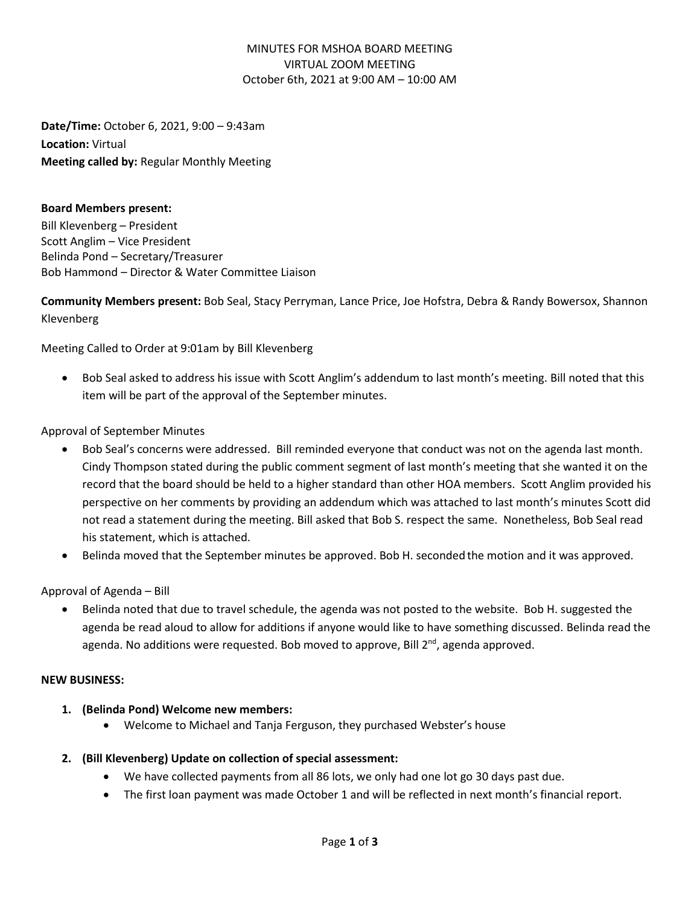### MINUTES FOR MSHOA BOARD MEETING VIRTUAL ZOOM MEETING October 6th, 2021 at 9:00 AM – 10:00 AM

**Date/Time:** October 6, 2021, 9:00 – 9:43am **Location:** Virtual **Meeting called by:** Regular Monthly Meeting

#### **Board Members present:**

Bill Klevenberg – President Scott Anglim – Vice President Belinda Pond – Secretary/Treasurer Bob Hammond – Director & Water Committee Liaison

**Community Members present:** Bob Seal, Stacy Perryman, Lance Price, Joe Hofstra, Debra & Randy Bowersox, Shannon Klevenberg

Meeting Called to Order at 9:01am by Bill Klevenberg

• Bob Seal asked to address his issue with Scott Anglim's addendum to last month's meeting. Bill noted that this item will be part of the approval of the September minutes.

# Approval of September Minutes

- Bob Seal's concerns were addressed. Bill reminded everyone that conduct was not on the agenda last month. Cindy Thompson stated during the public comment segment of last month's meeting that she wanted it on the record that the board should be held to a higher standard than other HOA members. Scott Anglim provided his perspective on her comments by providing an addendum which was attached to last month's minutes Scott did not read a statement during the meeting. Bill asked that Bob S. respect the same. Nonetheless, Bob Seal read his statement, which is attached.
- Belinda moved that the September minutes be approved. Bob H. seconded the motion and it was approved.

Approval of Agenda – Bill

• Belinda noted that due to travel schedule, the agenda was not posted to the website. Bob H. suggested the agenda be read aloud to allow for additions if anyone would like to have something discussed. Belinda read the agenda. No additions were requested. Bob moved to approve, Bill 2<sup>nd</sup>, agenda approved.

#### **NEW BUSINESS:**

- **1. (Belinda Pond) Welcome new members:** 
	- Welcome to Michael and Tanja Ferguson, they purchased Webster's house
- **2. (Bill Klevenberg) Update on collection of special assessment:** 
	- We have collected payments from all 86 lots, we only had one lot go 30 days past due.
	- The first loan payment was made October 1 and will be reflected in next month's financial report.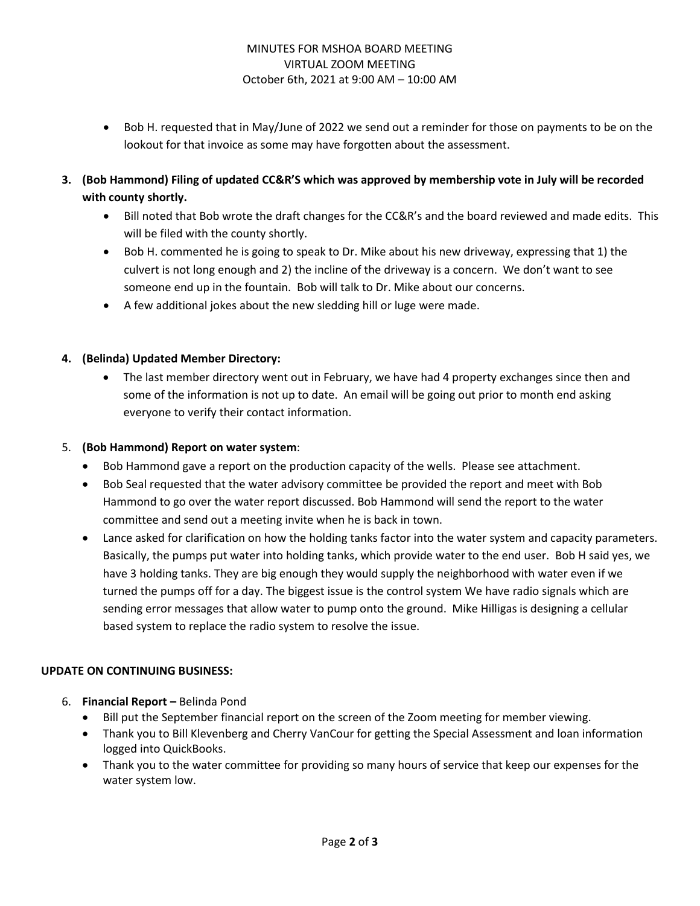### MINUTES FOR MSHOA BOARD MEETING VIRTUAL ZOOM MEETING October 6th, 2021 at 9:00 AM – 10:00 AM

- Bob H. requested that in May/June of 2022 we send out a reminder for those on payments to be on the lookout for that invoice as some may have forgotten about the assessment.
- **3. (Bob Hammond) Filing of updated CC&R'S which was approved by membership vote in July will be recorded with county shortly.**
	- Bill noted that Bob wrote the draft changes for the CC&R's and the board reviewed and made edits. This will be filed with the county shortly.
	- Bob H. commented he is going to speak to Dr. Mike about his new driveway, expressing that 1) the culvert is not long enough and 2) the incline of the driveway is a concern. We don't want to see someone end up in the fountain. Bob will talk to Dr. Mike about our concerns.
	- A few additional jokes about the new sledding hill or luge were made.
- **4. (Belinda) Updated Member Directory:**
	- The last member directory went out in February, we have had 4 property exchanges since then and some of the information is not up to date. An email will be going out prior to month end asking everyone to verify their contact information.
- 5. **(Bob Hammond) Report on water system**:
	- Bob Hammond gave a report on the production capacity of the wells. Please see attachment.
	- Bob Seal requested that the water advisory committee be provided the report and meet with Bob Hammond to go over the water report discussed. Bob Hammond will send the report to the water committee and send out a meeting invite when he is back in town.
	- Lance asked for clarification on how the holding tanks factor into the water system and capacity parameters. Basically, the pumps put water into holding tanks, which provide water to the end user. Bob H said yes, we have 3 holding tanks. They are big enough they would supply the neighborhood with water even if we turned the pumps off for a day. The biggest issue is the control system We have radio signals which are sending error messages that allow water to pump onto the ground. Mike Hilligas is designing a cellular based system to replace the radio system to resolve the issue.

# **UPDATE ON CONTINUING BUSINESS:**

- 6. **Financial Report –** Belinda Pond
	- Bill put the September financial report on the screen of the Zoom meeting for member viewing.
	- Thank you to Bill Klevenberg and Cherry VanCour for getting the Special Assessment and loan information logged into QuickBooks.
	- Thank you to the water committee for providing so many hours of service that keep our expenses for the water system low.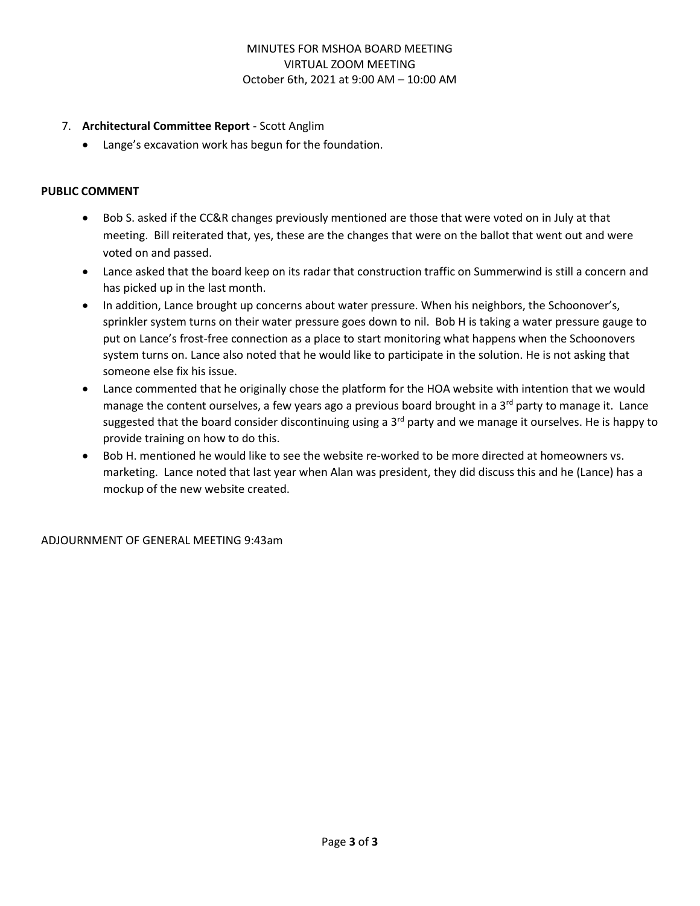### MINUTES FOR MSHOA BOARD MEETING VIRTUAL ZOOM MEETING October 6th, 2021 at 9:00 AM – 10:00 AM

### 7. **Architectural Committee Report** - Scott Anglim

• Lange's excavation work has begun for the foundation.

### **PUBLIC COMMENT**

- Bob S. asked if the CC&R changes previously mentioned are those that were voted on in July at that meeting. Bill reiterated that, yes, these are the changes that were on the ballot that went out and were voted on and passed.
- Lance asked that the board keep on its radar that construction traffic on Summerwind is still a concern and has picked up in the last month.
- In addition, Lance brought up concerns about water pressure. When his neighbors, the Schoonover's, sprinkler system turns on their water pressure goes down to nil. Bob H is taking a water pressure gauge to put on Lance's frost-free connection as a place to start monitoring what happens when the Schoonovers system turns on. Lance also noted that he would like to participate in the solution. He is not asking that someone else fix his issue.
- Lance commented that he originally chose the platform for the HOA website with intention that we would manage the content ourselves, a few years ago a previous board brought in a  $3<sup>rd</sup>$  party to manage it. Lance suggested that the board consider discontinuing using a 3<sup>rd</sup> party and we manage it ourselves. He is happy to provide training on how to do this.
- Bob H. mentioned he would like to see the website re-worked to be more directed at homeowners vs. marketing. Lance noted that last year when Alan was president, they did discuss this and he (Lance) has a mockup of the new website created.

ADJOURNMENT OF GENERAL MEETING 9:43am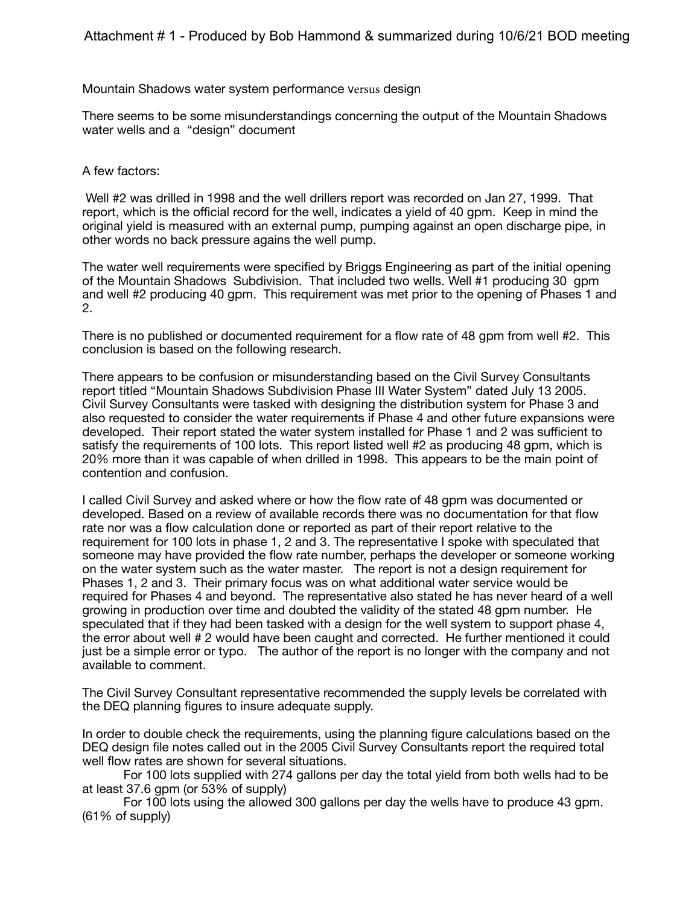Mountain Shadows water system performance versus design

There seems to be some misunderstandings concerning the output of the Mountain Shadows water wells and a "design" document

#### A few factors:

 Well #2 was drilled in 1998 and the well drillers report was recorded on Jan 27, 1999. That report, which is the official record for the well, indicates a yield of 40 gpm. Keep in mind the original yield is measured with an external pump, pumping against an open discharge pipe, in other words no back pressure agains the well pump.

The water well requirements were specified by Briggs Engineering as part of the initial opening of the Mountain Shadows Subdivision. That included two wells. Well #1 producing 30 gpm and well #2 producing 40 gpm. This requirement was met prior to the opening of Phases 1 and 2.

There is no published or documented requirement for a flow rate of 48 gpm from well #2. This conclusion is based on the following research.

There appears to be confusion or misunderstanding based on the Civil Survey Consultants report titled "Mountain Shadows Subdivision Phase III Water System" dated July 13 2005. Civil Survey Consultants were tasked with designing the distribution system for Phase 3 and also requested to consider the water requirements if Phase 4 and other future expansions were developed. Their report stated the water system installed for Phase 1 and 2 was sufficient to satisfy the requirements of 100 lots. This report listed well #2 as producing 48 gpm, which is 20% more than it was capable of when drilled in 1998. This appears to be the main point of contention and confusion.

I called Civil Survey and asked where or how the flow rate of 48 gpm was documented or developed. Based on a review of available records there was no documentation for that flow rate nor was a flow calculation done or reported as part of their report relative to the requirement for 100 lots in phase 1, 2 and 3. The representative I spoke with speculated that someone may have provided the flow rate number, perhaps the developer or someone working on the water system such as the water master. The report is not a design requirement for Phases 1, 2 and 3. Their primary focus was on what additional water service would be required for Phases 4 and beyond. The representative also stated he has never heard of a well growing in production over time and doubted the validity of the stated 48 gpm number. He speculated that if they had been tasked with a design for the well system to support phase 4, the error about well # 2 would have been caught and corrected. He further mentioned it could just be a simple error or typo. The author of the report is no longer with the company and not available to comment.

The Civil Survey Consultant representative recommended the supply levels be correlated with the DEQ planning figures to insure adequate supply.

In order to double check the requirements, using the planning figure calculations based on the DEQ design file notes called out in the 2005 Civil Survey Consultants report the required total well flow rates are shown for several situations.

For 100 lots supplied with 274 gallons per day the total yield from both wells had to be at least 37.6 gpm (or 53% of supply)

For 100 lots using the allowed 300 gallons per day the wells have to produce 43 gpm. (61% of supply)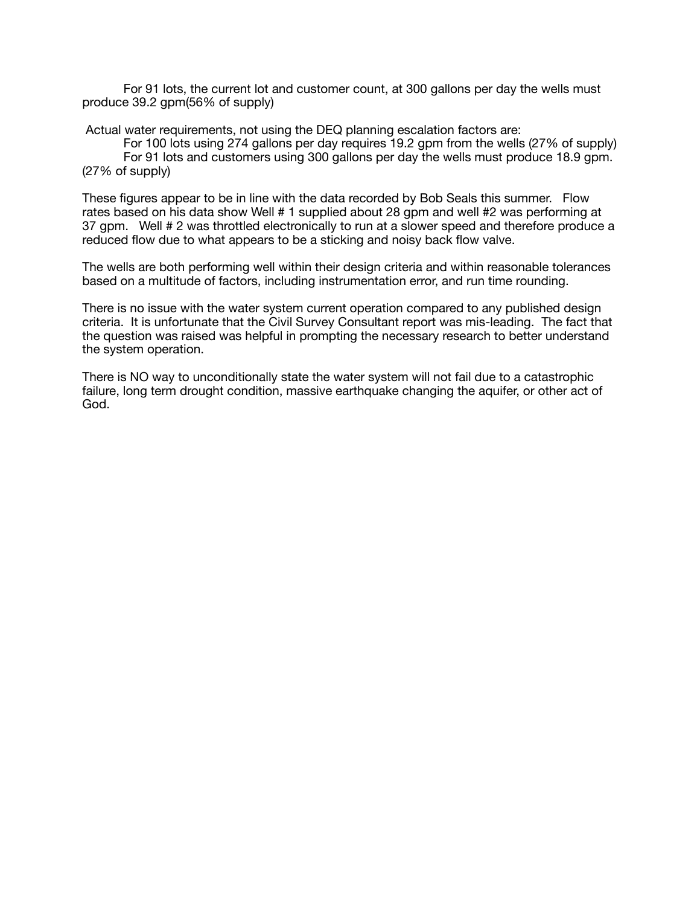For 91 lots, the current lot and customer count, at 300 gallons per day the wells must produce 39.2 gpm(56% of supply)

Actual water requirements, not using the DEQ planning escalation factors are:

For 100 lots using 274 gallons per day requires 19.2 gpm from the wells (27% of supply) For 91 lots and customers using 300 gallons per day the wells must produce 18.9 gpm. (27% of supply)

These figures appear to be in line with the data recorded by Bob Seals this summer. Flow rates based on his data show Well # 1 supplied about 28 gpm and well #2 was performing at 37 gpm. Well # 2 was throttled electronically to run at a slower speed and therefore produce a reduced flow due to what appears to be a sticking and noisy back flow valve.

The wells are both performing well within their design criteria and within reasonable tolerances based on a multitude of factors, including instrumentation error, and run time rounding.

There is no issue with the water system current operation compared to any published design criteria. It is unfortunate that the Civil Survey Consultant report was mis-leading. The fact that the question was raised was helpful in prompting the necessary research to better understand the system operation.

There is NO way to unconditionally state the water system will not fail due to a catastrophic failure, long term drought condition, massive earthquake changing the aquifer, or other act of God.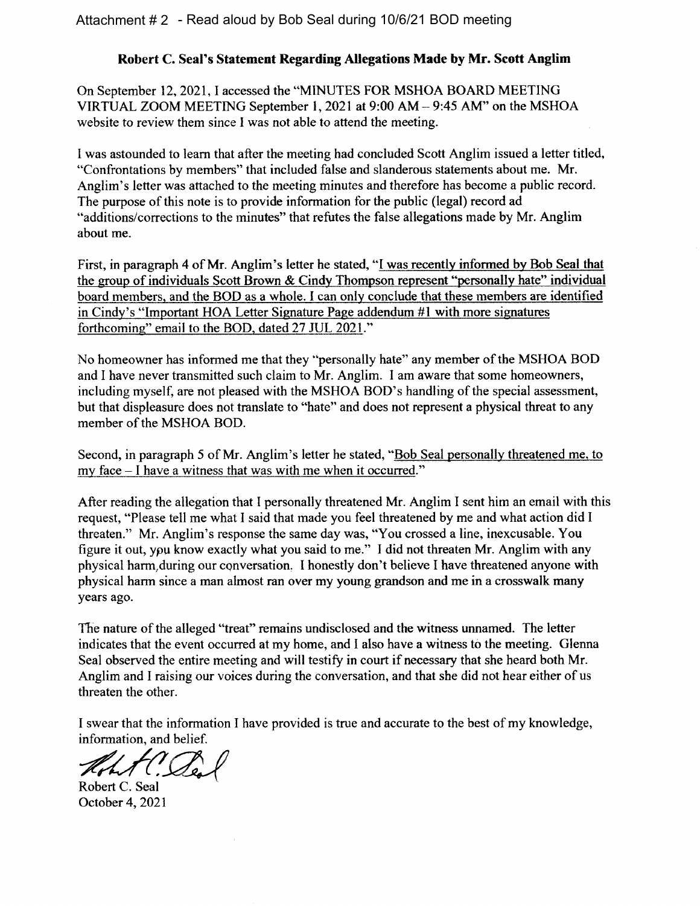# Robert C. Seal's Statement Regarding Allegations Made by Mr. Scott Anglim

On September 12, 2021, I accessed the "MINUTES FOR MSHOA BOARD MEETING VIRTUAL ZOOM MEETING September 1, 2021 at 9:00 AM - 9:45 AM" on the MSHOA website to review them since I was not able to attend the meeting.

I was astounded to learn that after the meeting had concluded Scott Anglim issued a letter titled, "Confrontations by members" that included false and slanderous statements about me. Mr. Anglim's letter was attached to the meeting minutes and therefore has become a public record. The purpose of this note is to provide information for the public (legal) record ad "additions/corrections to the minutes" that refutes the false allegations made by Mr. Anglim about me.

First, in paragraph 4 of Mr. Anglim's letter he stated, "I was recently informed by Bob Seal that the group of individuals Scott Brown & Cindy Thompson represent "personally hate" individual board members, and the BOD as a whole. I can only conclude that these members are identified in Cindy's "Important HOA Letter Signature Page addendum #1 with more signatures forthcoming" email to the BOD, dated 27 JUL 2021."

No homeowner has informed me that they "personally hate" any member of the MSHOA BOD and I have never transmitted such claim to Mr. Anglim. I am aware that some homeowners, including myself, are not pleased with the MSHOA BOD's handling of the special assessment, but that displeasure does not translate to "hate" and does not represent a physical threat to any member of the MSHOA BOD.

Second, in paragraph 5 of Mr. Anglim's letter he stated, "Bob Seal personally threatened me, to my face – I have a witness that was with me when it occurred."

After reading the allegation that I personally threatened Mr. Anglim I sent him an email with this request, "Please tell me what I said that made you feel threatened by me and what action did I threaten." Mr. Anglim's response the same day was, "You crossed a line, inexcusable. You figure it out, you know exactly what you said to me." I did not threaten Mr. Anglim with any physical harm during our conversation. I honestly don't believe I have threatened anyone with physical harm since a man almost ran over my young grandson and me in a crosswalk many years ago.

The nature of the alleged "treat" remains undisclosed and the witness unnamed. The letter indicates that the event occurred at my home, and I also have a witness to the meeting. Glenna Seal observed the entire meeting and will testify in court if necessary that she heard both Mr. Anglim and I raising our voices during the conversation, and that she did not hear either of us threaten the other.

I swear that the information I have provided is true and accurate to the best of my knowledge, information, and belief.

LAC. De

Robert C. Seal October 4, 2021